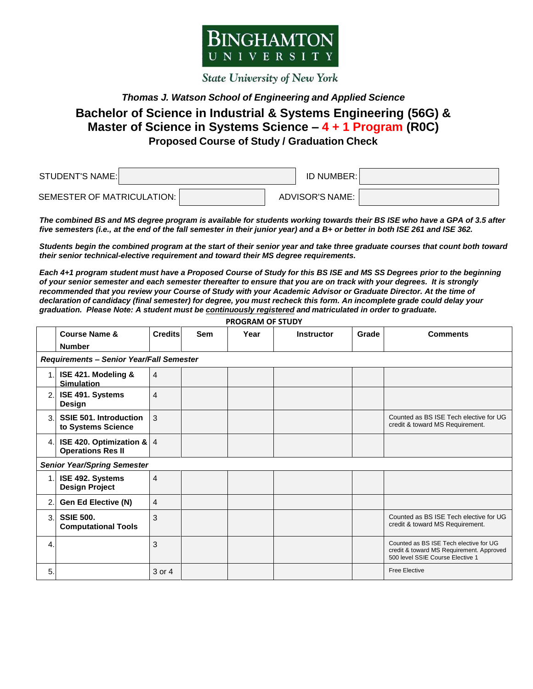

**State University of New York** 

## *Thomas J. Watson School of Engineering and Applied Science*

## **Bachelor of Science in Industrial & Systems Engineering (56G) & Master of Science in Systems Science – 4 + 1 Program (R0C) Proposed Course of Study / Graduation Check**

| STUDENT'S NAME:            | ID NUMBER:      |  |
|----------------------------|-----------------|--|
| SEMESTER OF MATRICULATION: | ADVISOR'S NAME: |  |

*The combined BS and MS degree program is available for students working towards their BS ISE who have a GPA of 3.5 after five semesters (i.e., at the end of the fall semester in their junior year) and a B+ or better in both ISE 261 and ISE 362.* 

*Students begin the combined program at the start of their senior year and take three graduate courses that count both toward their senior technical-elective requirement and toward their MS degree requirements.* 

*Each 4+1 program student must have a Proposed Course of Study for this BS ISE and MS SS Degrees prior to the beginning of your senior semester and each semester thereafter to ensure that you are on track with your degrees. It is strongly recommended that you review your Course of Study with your Academic Advisor or Graduate Director. At the time of declaration of candidacy (final semester) for degree, you must recheck this form. An incomplete grade could delay your graduation. Please Note: A student must be continuously registered and matriculated in order to graduate.*

|     | <b>Course Name &amp;</b>                                  | <b>Credits</b> | <b>Sem</b> | Year | <b>Instructor</b> | Grade | <b>Comments</b>                                                                                                        |  |
|-----|-----------------------------------------------------------|----------------|------------|------|-------------------|-------|------------------------------------------------------------------------------------------------------------------------|--|
|     | <b>Number</b>                                             |                |            |      |                   |       |                                                                                                                        |  |
|     | Requirements - Senior Year/Fall Semester                  |                |            |      |                   |       |                                                                                                                        |  |
| 1.  | ISE 421. Modeling &<br><b>Simulation</b>                  | $\overline{4}$ |            |      |                   |       |                                                                                                                        |  |
| 2.  | ISE 491. Systems<br><b>Design</b>                         | $\overline{4}$ |            |      |                   |       |                                                                                                                        |  |
| 3.  | <b>SSIE 501. Introduction</b><br>to Systems Science       | 3              |            |      |                   |       | Counted as BS ISE Tech elective for UG<br>credit & toward MS Requirement.                                              |  |
| 4.  | ISE 420. Optimization & $ 4 $<br><b>Operations Res II</b> |                |            |      |                   |       |                                                                                                                        |  |
|     | <b>Senior Year/Spring Semester</b>                        |                |            |      |                   |       |                                                                                                                        |  |
| 1.1 | ISE 492. Systems<br><b>Design Project</b>                 | $\overline{4}$ |            |      |                   |       |                                                                                                                        |  |
| 2.  | <b>Gen Ed Elective (N)</b>                                | $\overline{4}$ |            |      |                   |       |                                                                                                                        |  |
| 3.  | <b>SSIE 500.</b><br><b>Computational Tools</b>            | 3              |            |      |                   |       | Counted as BS ISE Tech elective for UG<br>credit & toward MS Requirement.                                              |  |
| 4.  |                                                           | 3              |            |      |                   |       | Counted as BS ISE Tech elective for UG<br>credit & toward MS Requirement. Approved<br>500 level SSIE Course Elective 1 |  |
| 5.  |                                                           | 3 or 4         |            |      |                   |       | <b>Free Elective</b>                                                                                                   |  |